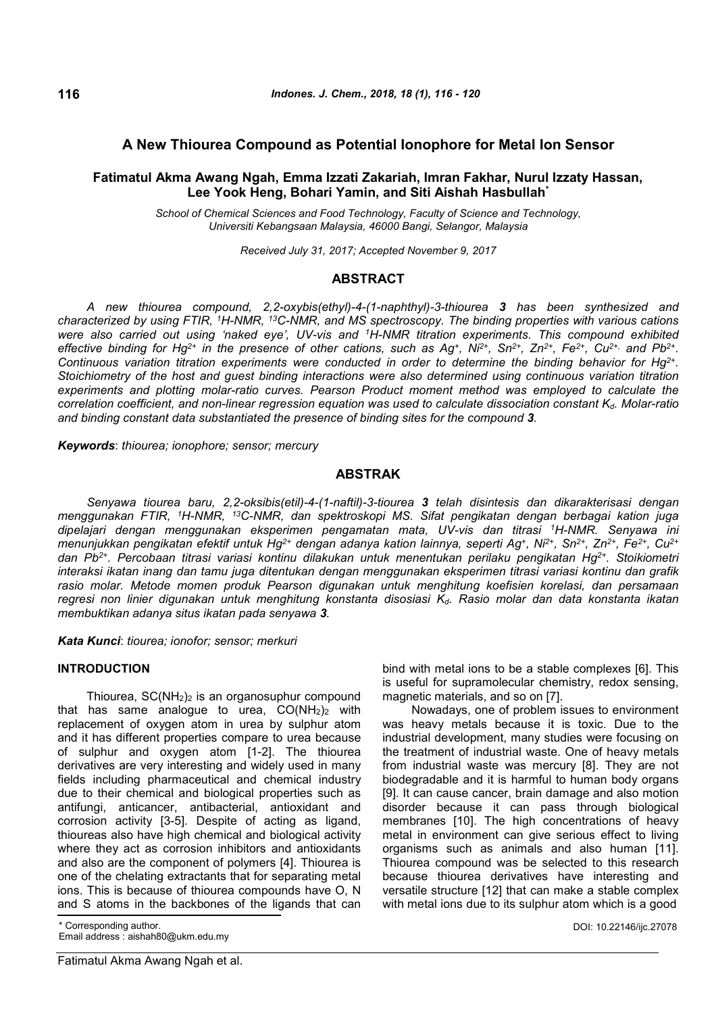## **A New Thiourea Compound as Potential Ionophore for Metal Ion Sensor**

# **Fatimatul Akma Awang Ngah, Emma Izzati Zakariah, Imran Fakhar, Nurul Izzaty Hassan, Lee Yook Heng, Bohari Yamin, and Siti Aishah Hasbullah\***

*School of Chemical Sciences and Food Technology, Faculty of Science and Technology, Universiti Kebangsaan Malaysia, 46000 Bangi, Selangor, Malaysia*

*Received July 31, 2017; Accepted November 9, 2017*

## **ABSTRACT**

*A new thiourea compound, 2,2-oxybis(ethyl)-4-(1-naphthyl)-3-thiourea 3 has been synthesized and characterized by using FTIR, <sup>1</sup>H-NMR, <sup>13</sup>C-NMR, and MS spectroscopy. The binding properties with various cations were also carried out using 'naked eye', UV-vis and <sup>1</sup>H-NMR titration experiments. This compound exhibited* effective binding for Hg<sup>2+</sup> in the presence of other cations, such as Ag<sup>+</sup>, Ni<sup>2+</sup>, Sn<sup>2+</sup>, Zn<sup>2+</sup>, Fe<sup>2+</sup>, Cu<sup>2+,</sup> and Pb<sup>2+</sup>. *Continuous variation titration experiments were conducted in order to determine the binding behavior for Hg2+ . Stoichiometry of the host and guest binding interactions were also determined using continuous variation titration experiments and plotting molar-ratio curves. Pearson Product moment method was employed to calculate the correlation coefficient, and non-linear regression equation was used to calculate dissociation constant Kd. Molar-ratio and binding constant data substantiated the presence of binding sites for the compound 3.*

*Keywords*: *thiourea; ionophore; sensor; mercury*

## **ABSTRAK**

*Senyawa tiourea baru, 2,2-oksibis(etil)-4-(1-naftil)-3-tiourea 3 telah disintesis dan dikarakterisasi dengan menggunakan FTIR, <sup>1</sup>H-NMR, <sup>13</sup>C-NMR, dan spektroskopi MS. Sifat pengikatan dengan berbagai kation juga dipelajari dengan menggunakan eksperimen pengamatan mata, UV-vis dan titrasi <sup>1</sup>H-NMR. Senyawa ini menunjukkan pengikatan efektif untuk Hg2+ dengan adanya kation lainnya, seperti Ag<sup>+</sup> , Ni2+, Sn2+, Zn2+, Fe2+, Cu2+ dan Pb2+. Percobaan titrasi variasi kontinu dilakukan untuk menentukan perilaku pengikatan Hg2+. Stoikiometri interaksi ikatan inang dan tamu juga ditentukan dengan menggunakan eksperimen titrasi variasi kontinu dan grafik rasio molar. Metode momen produk Pearson digunakan untuk menghitung koefisien korelasi, dan persamaan regresi non linier digunakan untuk menghitung konstanta disosiasi Kd. Rasio molar dan data konstanta ikatan membuktikan adanya situs ikatan pada senyawa 3.*

*Kata Kunci*: *tiourea; ionofor; sensor; merkuri*

## **INTRODUCTION**

Thiourea,  $SC(NH<sub>2</sub>)<sub>2</sub>$  is an organosuphur compound that has same analogue to urea,  $CO(NH<sub>2</sub>)<sub>2</sub>$  with replacement of oxygen atom in urea by sulphur atom and it has different properties compare to urea because of sulphur and oxygen atom [1-2]. The thiourea derivatives are very interesting and widely used in many fields including pharmaceutical and chemical industry due to their chemical and biological properties such as antifungi, anticancer, antibacterial, antioxidant and corrosion activity [3-5]. Despite of acting as ligand, thioureas also have high chemical and biological activity where they act as corrosion inhibitors and antioxidants and also are the component of polymers [4]. Thiourea is one of the chelating extractants that for separating metal ions. This is because of thiourea compounds have O, N and S atoms in the backbones of the ligands that can

\* Corresponding author.

Email address : aishah80@ukm.edu.my

bind with metal ions to be a stable complexes [6]. This is useful for supramolecular chemistry, redox sensing, magnetic materials, and so on [7].

Nowadays, one of problem issues to environment was heavy metals because it is toxic. Due to the industrial development, many studies were focusing on the treatment of industrial waste. One of heavy metals from industrial waste was mercury [8]. They are not biodegradable and it is harmful to human body organs [9]. It can cause cancer, brain damage and also motion disorder because it can pass through biological membranes [10]. The high concentrations of heavy metal in environment can give serious effect to living organisms such as animals and also human [11]. Thiourea compound was be selected to this research because thiourea derivatives have interesting and versatile structure [12] that can make a stable complex with metal ions due to its sulphur atom which is a good

DOI: 10.22146/ijc.27078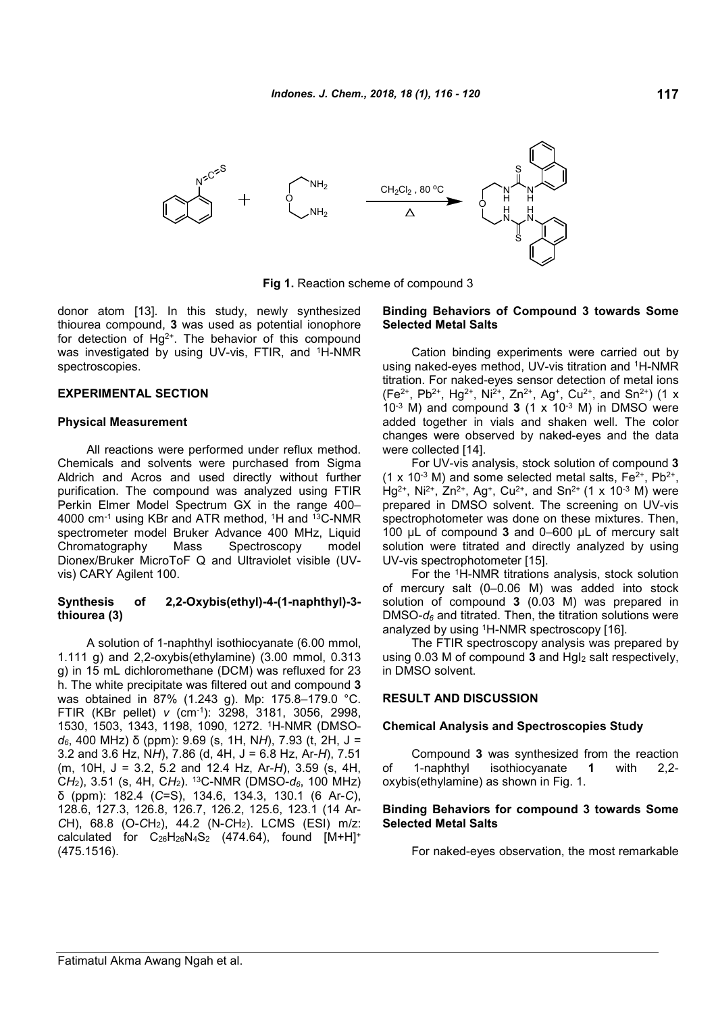

**Fig 1.** Reaction scheme of compound 3

donor atom [13]. In this study, newly synthesized thiourea compound, **3** was used as potential ionophore for detection of  $Hg^{2+}$ . The behavior of this compound was investigated by using UV-vis, FTIR, and <sup>1</sup>H-NMR spectroscopies.

### **EXPERIMENTAL SECTION**

#### **Physical Measurement**

All reactions were performed under reflux method. Chemicals and solvents were purchased from Sigma Aldrich and Acros and used directly without further purification. The compound was analyzed using FTIR Perkin Elmer Model Spectrum GX in the range 400– 4000 cm<sup>-1</sup> using KBr and ATR method, <sup>1</sup>H and <sup>13</sup>C-NMR spectrometer model Bruker Advance 400 MHz, Liquid Chromatography Mass Spectroscopy model Dionex/Bruker MicroToF Q and Ultraviolet visible (UVvis) CARY Agilent 100.

### **Synthesis of 2,2-Oxybis(ethyl)-4-(1-naphthyl)-3 thiourea (3)**

A solution of 1-naphthyl isothiocyanate (6.00 mmol, 1.111 g) and 2,2-oxybis(ethylamine) (3.00 mmol, 0.313 g) in 15 mL dichloromethane (DCM) was refluxed for 23 h. The white precipitate was filtered out and compound **3** was obtained in 87% (1.243 g). Mp: 175.8–179.0 °C. FTIR (KBr pellet) *v* (cm-1): 3298, 3181, 3056, 2998, 1530, 1503, 1343, 1198, 1090, 1272. <sup>1</sup>H-NMR (DMSO*d6*, 400 MHz) δ (ppm): 9.69 (s, 1H, N*H*), 7.93 (t, 2H, J = 3.2 and 3.6 Hz, N*H*), 7.86 (d, 4H, J = 6.8 Hz, Ar-*H*), 7.51 (m, 10H, J = 3.2, 5.2 and 12.4 Hz, Ar-*H*), 3.59 (s, 4H, C*H*2), 3.51 (s, 4H, C*H*2). <sup>13</sup>C-NMR (DMSO-*d6*, 100 MHz) δ (ppm): 182.4 (*C*=S), 134.6, 134.3, 130.1 (6 Ar-*C*), 128.6, 127.3, 126.8, 126.7, 126.2, 125.6, 123.1 (14 Ar-*C*H), 68.8 (O-*C*H2), 44.2 (N-*C*H2). LCMS (ESI) m/z: calculated for  $C_{26}H_{26}N_4S_2$  (474.64), found  $[M+H]^+$ (475.1516).

### **Binding Behaviors of Compound 3 towards Some Selected Metal Salts**

Cation binding experiments were carried out by using naked-eyes method, UV-vis titration and <sup>1</sup>H-NMR titration. For naked-eyes sensor detection of metal ions (Fe<sup>2+</sup>, Pb<sup>2+</sup>, Hg<sup>2+</sup>, Ni<sup>2+</sup>, Zn<sup>2+</sup>, Ag<sup>+</sup>, Cu<sup>2+</sup>, and Sn<sup>2+</sup>) (1 x  $10^{-3}$  M) and compound **3** (1 x  $10^{-3}$  M) in DMSO were added together in vials and shaken well. The color changes were observed by naked-eyes and the data were collected [14].

For UV-vis analysis, stock solution of compound **3**  $(1 \times 10^{-3} \text{ M})$  and some selected metal salts, Fe<sup>2+</sup>, Pb<sup>2+</sup>, Hg<sup>2+</sup>, Ni<sup>2+</sup>, Zn<sup>2+</sup>, Ag<sup>+</sup>, Cu<sup>2+</sup>, and Sn<sup>2+</sup> (1 x 10<sup>-3</sup> M) were prepared in DMSO solvent. The screening on UV-vis spectrophotometer was done on these mixtures. Then, 100 µL of compound **3** and 0–600 µL of mercury salt solution were titrated and directly analyzed by using UV-vis spectrophotometer [15].

For the <sup>1</sup>H-NMR titrations analysis, stock solution of mercury salt (0–0.06 M) was added into stock solution of compound **3** (0.03 M) was prepared in DMSO-*d<sup>6</sup>* and titrated. Then, the titration solutions were analyzed by using <sup>1</sup>H-NMR spectroscopy [16].

The FTIR spectroscopy analysis was prepared by using 0.03 M of compound **3** and HgI<sup>2</sup> salt respectively, in DMSO solvent.

#### **RESULT AND DISCUSSION**

#### **Chemical Analysis and Spectroscopies Study**

Compound **3** was synthesized from the reaction of 1-naphthyl isothiocyanate **1** with 2,2 oxybis(ethylamine) as shown in Fig. 1.

## **Binding Behaviors for compound 3 towards Some Selected Metal Salts**

For naked-eyes observation, the most remarkable

**117**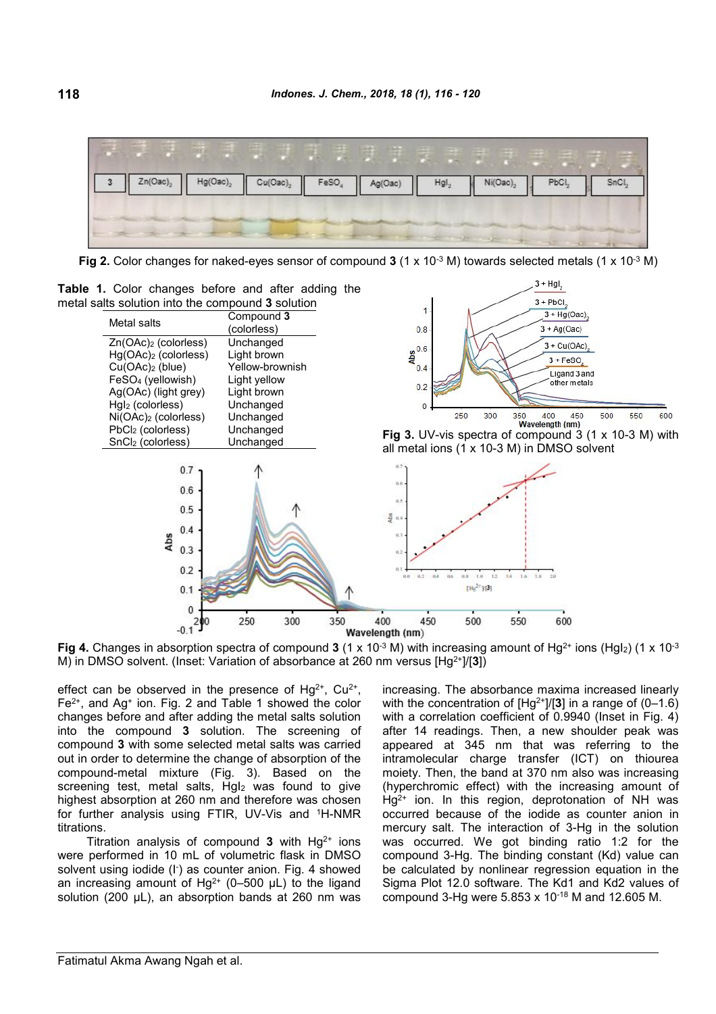

**Fig 2.** Color changes for naked-eyes sensor of compound **3** (1 x 10-3 M) towards selected metals (1 x 10-3 M)

**Table 1.** Color changes before and after adding the metal salts solution into the compound **3** solution



**Fig 4.** Changes in absorption spectra of compound **3** (1 x 10<sup>-3</sup> M) with increasing amount of Hg<sup>2+</sup> ions (HgI<sub>2</sub>) (1 x 10<sup>-3</sup>) M) in DMSO solvent. (Inset: Variation of absorbance at 260 nm versus [Hg2+]/[**3**])

effect can be observed in the presence of  $Hg^{2+}$ , Cu<sup>2+</sup>,  $Fe<sup>2+</sup>$ , and Ag<sup>+</sup> ion. Fig. 2 and Table 1 showed the color changes before and after adding the metal salts solution into the compound **3** solution. The screening of compound **3** with some selected metal salts was carried out in order to determine the change of absorption of the compound-metal mixture (Fig. 3). Based on the screening test, metal salts, HgI<sub>2</sub> was found to give highest absorption at 260 nm and therefore was chosen for further analysis using FTIR, UV-Vis and <sup>1</sup>H-NMR titrations.

Titration analysis of compound  $3$  with  $Hq^{2+}$  ions were performed in 10 mL of volumetric flask in DMSO solvent using iodide (I<sup>-</sup>) as counter anion. Fig. 4 showed an increasing amount of  $Hg^{2+}$  (0-500 µL) to the ligand solution (200 µL), an absorption bands at 260 nm was increasing. The absorbance maxima increased linearly with the concentration of [Hg2+]/[**3**] in a range of (0–1.6) with a correlation coefficient of 0.9940 (Inset in Fig. 4) after 14 readings. Then, a new shoulder peak was appeared at 345 nm that was referring to the intramolecular charge transfer (ICT) on thiourea moiety. Then, the band at 370 nm also was increasing (hyperchromic effect) with the increasing amount of  $Hq^{2+}$  ion. In this region, deprotonation of NH was occurred because of the iodide as counter anion in mercury salt. The interaction of 3-Hg in the solution was occurred. We got binding ratio 1:2 for the compound 3-Hg. The binding constant (Kd) value can be calculated by nonlinear regression equation in the Sigma Plot 12.0 software. The Kd1 and Kd2 values of compound 3-Hg were 5.853 x 10-18 M and 12.605 M.

 $3 + Hgl$  $3 + PhCl$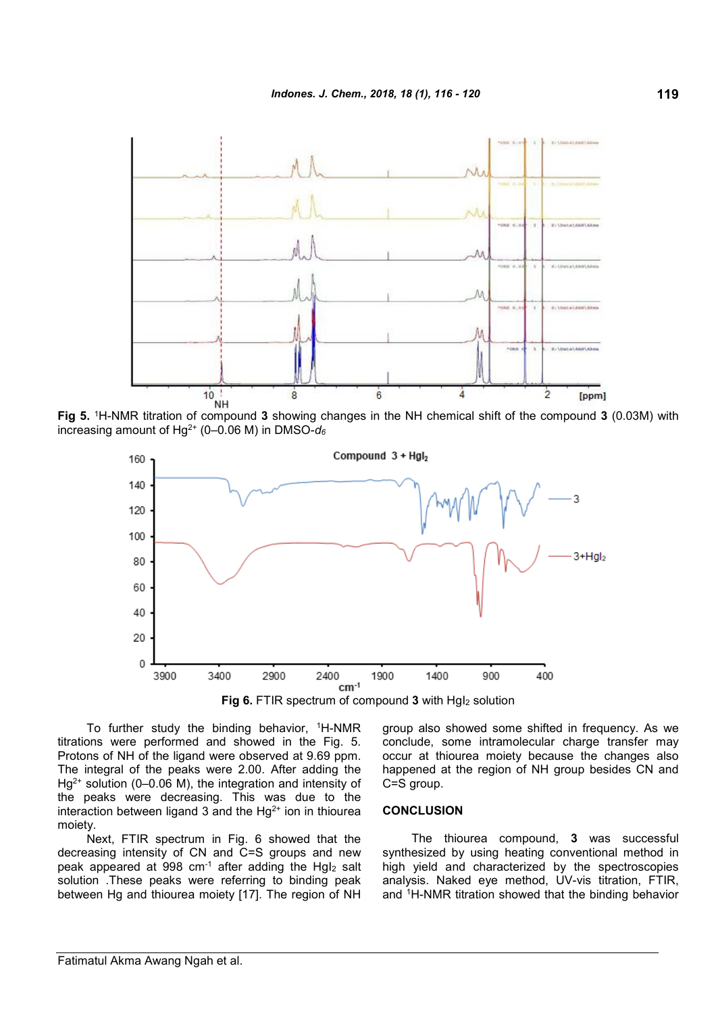

**Fig 5.** <sup>1</sup>H-NMR titration of compound **3** showing changes in the NH chemical shift of the compound **3** (0.03M) with increasing amount of Hg2+ (0–0.06 M) in DMSO-*d<sup>6</sup>*



**Fig 6.** FTIR spectrum of compound 3 with HgI<sub>2</sub> solution

To further study the binding behavior, <sup>1</sup>H-NMR titrations were performed and showed in the Fig. 5. Protons of NH of the ligand were observed at 9.69 ppm. The integral of the peaks were 2.00. After adding the  $Hg^{2+}$  solution (0–0.06 M), the integration and intensity of the peaks were decreasing. This was due to the interaction between ligand 3 and the  $Hq^{2+}$  ion in thiourea moiety.

Next, FTIR spectrum in Fig. 6 showed that the decreasing intensity of CN and C=S groups and new peak appeared at 998 cm-1 after adding the HgI<sup>2</sup> salt solution .These peaks were referring to binding peak between Hg and thiourea moiety [17]. The region of NH group also showed some shifted in frequency. As we conclude, some intramolecular charge transfer may occur at thiourea moiety because the changes also happened at the region of NH group besides CN and C=S group.

### **CONCLUSION**

The thiourea compound, **3** was successful synthesized by using heating conventional method in high yield and characterized by the spectroscopies analysis. Naked eye method, UV-vis titration, FTIR, and <sup>1</sup>H-NMR titration showed that the binding behavior